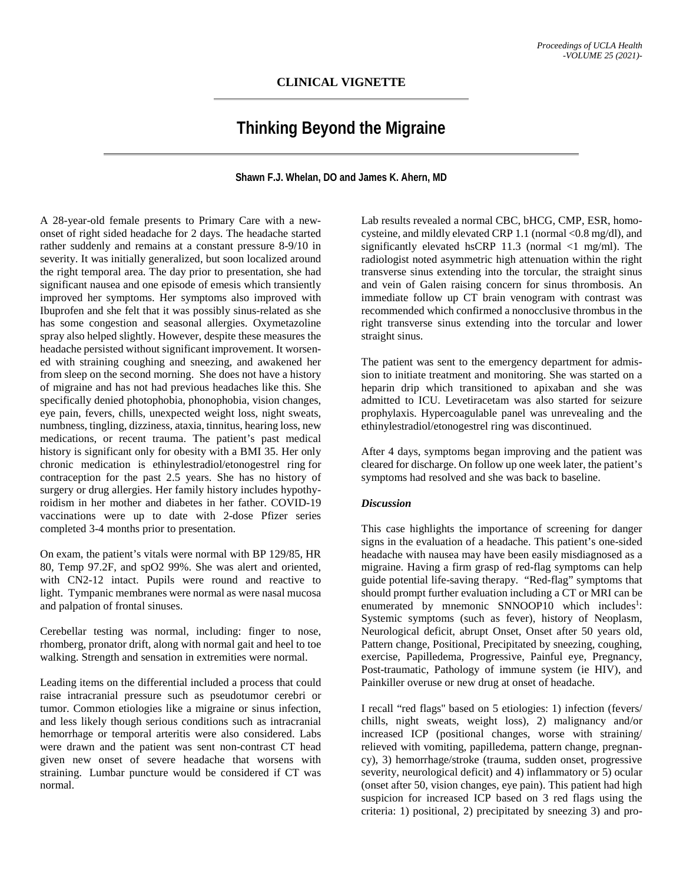## **CLINICAL VIGNETTE**

## **Thinking Beyond the Migraine**

**Shawn F.J. Whelan, DO and James K. Ahern, MD**

A 28-year-old female presents to Primary Care with a newonset of right sided headache for 2 days. The headache started rather suddenly and remains at a constant pressure 8-9/10 in severity. It was initially generalized, but soon localized around the right temporal area. The day prior to presentation, she had significant nausea and one episode of emesis which transiently improved her symptoms. Her symptoms also improved with Ibuprofen and she felt that it was possibly sinus-related as she has some congestion and seasonal allergies. Oxymetazoline spray also helped slightly. However, despite these measures the headache persisted without significant improvement. It worsened with straining coughing and sneezing, and awakened her from sleep on the second morning. She does not have a history of migraine and has not had previous headaches like this. She specifically denied photophobia, phonophobia, vision changes, eye pain, fevers, chills, unexpected weight loss, night sweats, numbness, tingling, dizziness, ataxia, tinnitus, hearing loss, new medications, or recent trauma. The patient's past medical history is significant only for obesity with a BMI 35. Her only chronic medication is ethinylestradiol/etonogestrel ring for contraception for the past 2.5 years. She has no history of surgery or drug allergies. Her family history includes hypothyroidism in her mother and diabetes in her father. COVID-19 vaccinations were up to date with 2-dose Pfizer series completed 3-4 months prior to presentation.

On exam, the patient's vitals were normal with BP 129/85, HR 80, Temp 97.2F, and spO2 99%. She was alert and oriented, with CN2-12 intact. Pupils were round and reactive to light. Tympanic membranes were normal as were nasal mucosa and palpation of frontal sinuses.

Cerebellar testing was normal, including: finger to nose, rhomberg, pronator drift, along with normal gait and heel to toe walking. Strength and sensation in extremities were normal.

Leading items on the differential included a process that could raise intracranial pressure such as pseudotumor cerebri or tumor. Common etiologies like a migraine or sinus infection, and less likely though serious conditions such as intracranial hemorrhage or temporal arteritis were also considered. Labs were drawn and the patient was sent non-contrast CT head given new onset of severe headache that worsens with straining. Lumbar puncture would be considered if CT was normal.

Lab results revealed a normal CBC, bHCG, CMP, ESR, homocysteine, and mildly elevated CRP 1.1 (normal <0.8 mg/dl), and significantly elevated hsCRP 11.3 (normal  $\langle$ 1 mg/ml). The radiologist noted asymmetric high attenuation within the right transverse sinus extending into the torcular, the straight sinus and vein of Galen raising concern for sinus thrombosis. An immediate follow up CT brain venogram with contrast was recommended which confirmed a nonocclusive thrombus in the right transverse sinus extending into the torcular and lower straight sinus.

The patient was sent to the emergency department for admission to initiate treatment and monitoring. She was started on a heparin drip which transitioned to apixaban and she was admitted to ICU. Levetiracetam was also started for seizure prophylaxis. Hypercoagulable panel was unrevealing and the ethinylestradiol/etonogestrel ring was discontinued.

After 4 days, symptoms began improving and the patient was cleared for discharge. On follow up one week later, the patient's symptoms had resolved and she was back to baseline.

## *Discussion*

This case highlights the importance of screening for danger signs in the evaluation of a headache. This patient's one-sided headache with nausea may have been easily misdiagnosed as a migraine. Having a firm grasp of red-flag symptoms can help guide potential life-saving therapy. "Red-flag" symptoms that should prompt further evaluation including a CT or MRI can be enumerated by mnemonic SNNOOP10 which includes<sup>1</sup>: Systemic symptoms (such as fever), history of Neoplasm, Neurological deficit, abrupt Onset, Onset after 50 years old, Pattern change, Positional, Precipitated by sneezing, coughing, exercise, Papilledema, Progressive, Painful eye, Pregnancy, Post-traumatic, Pathology of immune system (ie HIV), and Painkiller overuse or new drug at onset of headache.

I recall "red flags'' based on 5 etiologies: 1) infection (fevers/ chills, night sweats, weight loss), 2) malignancy and/or increased ICP (positional changes, worse with straining/ relieved with vomiting, papilledema, pattern change, pregnancy), 3) hemorrhage/stroke (trauma, sudden onset, progressive severity, neurological deficit) and 4) inflammatory or 5) ocular (onset after 50, vision changes, eye pain). This patient had high suspicion for increased ICP based on 3 red flags using the criteria: 1) positional, 2) precipitated by sneezing 3) and pro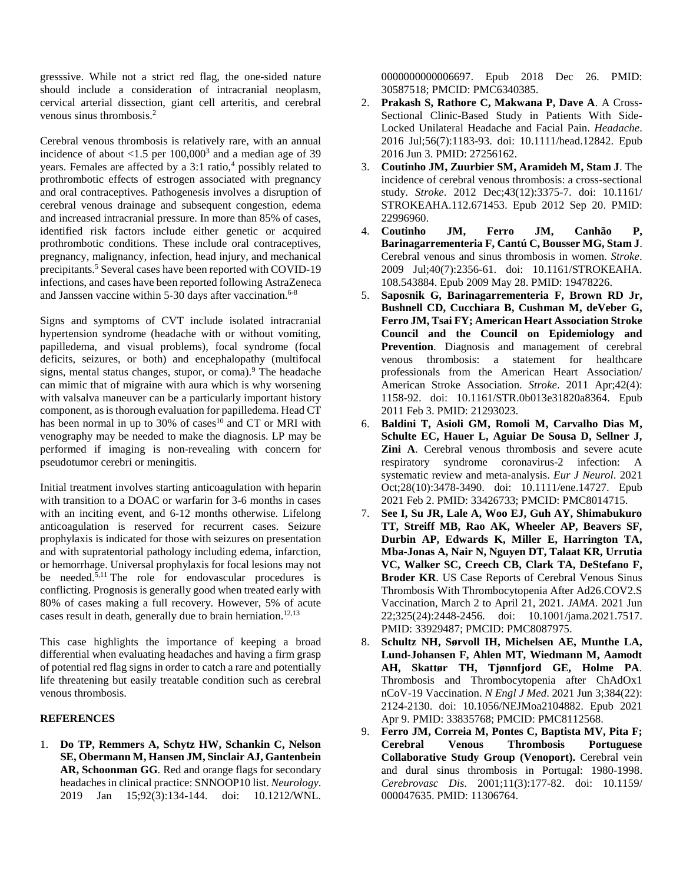gresssive. While not a strict red flag, the one-sided nature should include a consideration of intracranial neoplasm, cervical arterial dissection, giant cell arteritis, and cerebral venous sinus thrombosis.2

Cerebral venous thrombosis is relatively rare, with an annual incidence of about  $\langle 1.5 \text{ per } 100,000^3 \text{ and a median age of } 39 \rangle$ years. Females are affected by a 3:1 ratio,<sup>4</sup> possibly related to prothrombotic effects of estrogen associated with pregnancy and oral contraceptives. Pathogenesis involves a disruption of cerebral venous drainage and subsequent congestion, edema and increased intracranial pressure. In more than 85% of cases, identified risk factors include either genetic or acquired prothrombotic conditions. These include oral contraceptives, pregnancy, malignancy, infection, head injury, and mechanical precipitants.<sup>5</sup> Several cases have been reported with COVID-19 infections, and cases have been reported following AstraZeneca and Janssen vaccine within 5-30 days after vaccination.<sup>6-8</sup>

Signs and symptoms of CVT include isolated intracranial hypertension syndrome (headache with or without vomiting, papilledema, and visual problems), focal syndrome (focal deficits, seizures, or both) and encephalopathy (multifocal signs, mental status changes, stupor, or coma).<sup>9</sup> The headache can mimic that of migraine with aura which is why worsening with valsalva maneuver can be a particularly important history component, as is thorough evaluation for papilledema. Head CT has been normal in up to 30% of cases<sup>10</sup> and CT or MRI with venography may be needed to make the diagnosis. LP may be performed if imaging is non-revealing with concern for pseudotumor cerebri or meningitis.

Initial treatment involves starting anticoagulation with heparin with transition to a DOAC or warfarin for 3-6 months in cases with an inciting event, and 6-12 months otherwise. Lifelong anticoagulation is reserved for recurrent cases. Seizure prophylaxis is indicated for those with seizures on presentation and with supratentorial pathology including edema, infarction, or hemorrhage. Universal prophylaxis for focal lesions may not be needed.<sup>5,11</sup> The role for endovascular procedures is conflicting. Prognosis is generally good when treated early with 80% of cases making a full recovery. However, 5% of acute cases result in death, generally due to brain herniation.<sup>12,13</sup>

This case highlights the importance of keeping a broad differential when evaluating headaches and having a firm grasp of potential red flag signs in order to catch a rare and potentially life threatening but easily treatable condition such as cerebral venous thrombosis.

## **REFERENCES**

1. **Do TP, Remmers A, Schytz HW, Schankin C, Nelson SE, Obermann M, Hansen JM, Sinclair AJ, Gantenbein AR, Schoonman GG**. Red and orange flags for secondary headaches in clinical practice: SNNOOP10 list. *Neurology*. 2019 Jan 15;92(3):134-144. doi: 10.1212/WNL.

0000000000006697. Epub 2018 Dec 26. PMID: 30587518; PMCID: PMC6340385.

- 2. **Prakash S, Rathore C, Makwana P, Dave A**. A Cross-Sectional Clinic-Based Study in Patients With Side-Locked Unilateral Headache and Facial Pain. *Headache*. 2016 Jul;56(7):1183-93. doi: 10.1111/head.12842. Epub 2016 Jun 3. PMID: 27256162.
- 3. **Coutinho JM, Zuurbier SM, Aramideh M, Stam J**. The incidence of cerebral venous thrombosis: a cross-sectional study. *Stroke*. 2012 Dec;43(12):3375-7. doi: 10.1161/ STROKEAHA.112.671453. Epub 2012 Sep 20. PMID: 22996960.
- 4. **Coutinho JM, Ferro JM, Canhão P, Barinagarrementeria F, Cantú C, Bousser MG, Stam J**. Cerebral venous and sinus thrombosis in women. *Stroke*. 2009 Jul;40(7):2356-61. doi: 10.1161/STROKEAHA. 108.543884. Epub 2009 May 28. PMID: 19478226.
- 5. **Saposnik G, Barinagarrementeria F, Brown RD Jr, Bushnell CD, Cucchiara B, Cushman M, deVeber G, Ferro JM, Tsai FY; American Heart Association Stroke Council and the Council on Epidemiology and Prevention**. Diagnosis and management of cerebral venous thrombosis: a statement for healthcare professionals from the American Heart Association/ American Stroke Association. *Stroke*. 2011 Apr;42(4): 1158-92. doi: 10.1161/STR.0b013e31820a8364. Epub 2011 Feb 3. PMID: 21293023.
- 6. **Baldini T, Asioli GM, Romoli M, Carvalho Dias M, Schulte EC, Hauer L, Aguiar De Sousa D, Sellner J, Zini A**. Cerebral venous thrombosis and severe acute respiratory syndrome coronavirus-2 infection: A systematic review and meta-analysis. *Eur J Neurol*. 2021 Oct;28(10):3478-3490. doi: 10.1111/ene.14727. Epub 2021 Feb 2. PMID: 33426733; PMCID: PMC8014715.
- 7. **See I, Su JR, Lale A, Woo EJ, Guh AY, Shimabukuro TT, Streiff MB, Rao AK, Wheeler AP, Beavers SF, Durbin AP, Edwards K, Miller E, Harrington TA, Mba-Jonas A, Nair N, Nguyen DT, Talaat KR, Urrutia VC, Walker SC, Creech CB, Clark TA, DeStefano F, Broder KR**. US Case Reports of Cerebral Venous Sinus Thrombosis With Thrombocytopenia After Ad26.COV2.S Vaccination, March 2 to April 21, 2021. *JAMA*. 2021 Jun 22;325(24):2448-2456. doi: 10.1001/jama.2021.7517. PMID: 33929487; PMCID: PMC8087975.
- 8. **Schultz NH, Sørvoll IH, Michelsen AE, Munthe LA, Lund-Johansen F, Ahlen MT, Wiedmann M, Aamodt AH, Skattør TH, Tjønnfjord GE, Holme PA**. Thrombosis and Thrombocytopenia after ChAdOx1 nCoV-19 Vaccination. *N Engl J Med*. 2021 Jun 3;384(22): 2124-2130. doi: 10.1056/NEJMoa2104882. Epub 2021 Apr 9. PMID: 33835768; PMCID: PMC8112568.
- 9. **Ferro JM, Correia M, Pontes C, Baptista MV, Pita F; Cerebral Venous Thrombosis Portuguese Collaborative Study Group (Venoport).** Cerebral vein and dural sinus thrombosis in Portugal: 1980-1998. *Cerebrovasc Dis*. 2001;11(3):177-82. doi: 10.1159/ 000047635. PMID: 11306764.